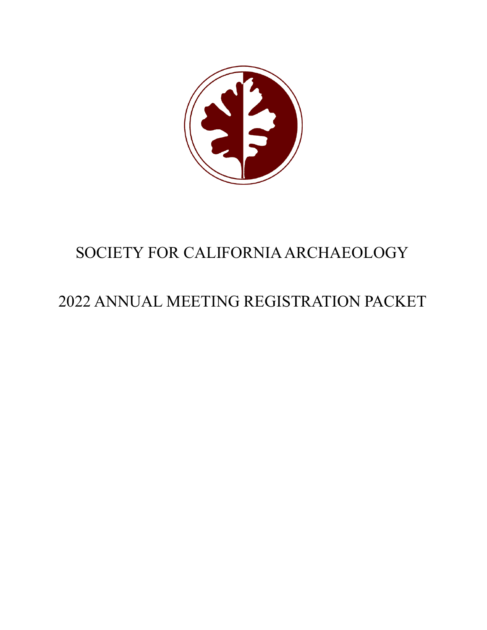

# SOCIETY FOR CALIFORNIAARCHAEOLOGY

# 2022 ANNUAL MEETING REGISTRATION PACKET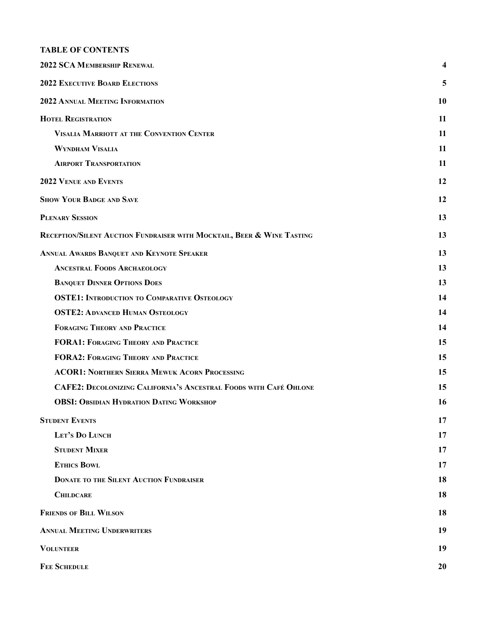# **TABLE OF CONTENTS**

<span id="page-1-0"></span>

| 2022 SCA MEMBERSHIP RENEWAL                                              | 4  |
|--------------------------------------------------------------------------|----|
| <b>2022 EXECUTIVE BOARD ELECTIONS</b>                                    | 5  |
| 2022 ANNUAL MEETING INFORMATION                                          | 10 |
| <b>HOTEL REGISTRATION</b>                                                | 11 |
| <b>VISALIA MARRIOTT AT THE CONVENTION CENTER</b>                         | 11 |
| <b>WYNDHAM VISALIA</b>                                                   | 11 |
| <b>AIRPORT TRANSPORTATION</b>                                            | 11 |
| <b>2022 VENUE AND EVENTS</b>                                             | 12 |
| <b>SHOW YOUR BADGE AND SAVE</b>                                          | 12 |
| <b>PLENARY SESSION</b>                                                   | 13 |
| RECEPTION/SILENT AUCTION FUNDRAISER WITH MOCKTAIL, BEER & WINE TASTING   | 13 |
| ANNUAL AWARDS BANQUET AND KEYNOTE SPEAKER                                | 13 |
| <b>ANCESTRAL FOODS ARCHAEOLOGY</b>                                       | 13 |
| <b>BANQUET DINNER OPTIONS DOES</b>                                       | 13 |
| <b>OSTE1: INTRODUCTION TO COMPARATIVE OSTEOLOGY</b>                      | 14 |
| <b>OSTE2: ADVANCED HUMAN OSTEOLOGY</b>                                   | 14 |
| <b>FORAGING THEORY AND PRACTICE</b>                                      | 14 |
| <b>FORA1: FORAGING THEORY AND PRACTICE</b>                               | 15 |
| <b>FORA2: FORAGING THEORY AND PRACTICE</b>                               | 15 |
| <b>ACOR1: NORTHERN SIERRA MEWUK ACORN PROCESSING</b>                     | 15 |
| <b>CAFE2: DECOLONIZING CALIFORNIA'S ANCESTRAL FOODS WITH CAFÉ OHLONE</b> | 15 |
| <b>OBSI: OBSIDIAN HYDRATION DATING WORKSHOP</b>                          | 16 |
| <b>STUDENT EVENTS</b>                                                    | 17 |
| LET'S DO LUNCH                                                           | 17 |
| <b>STUDENT MIXER</b>                                                     | 17 |
| <b>ETHICS BOWL</b>                                                       | 17 |
| <b>DONATE TO THE SILENT AUCTION FUNDRAISER</b>                           | 18 |
| <b>CHILDCARE</b>                                                         | 18 |
| <b>FRIENDS OF BILL WILSON</b>                                            | 18 |
| <b>ANNUAL MEETING UNDERWRITERS</b>                                       | 19 |
| <b>VOLUNTEER</b>                                                         | 19 |
| <b>FEE SCHEDULE</b>                                                      | 20 |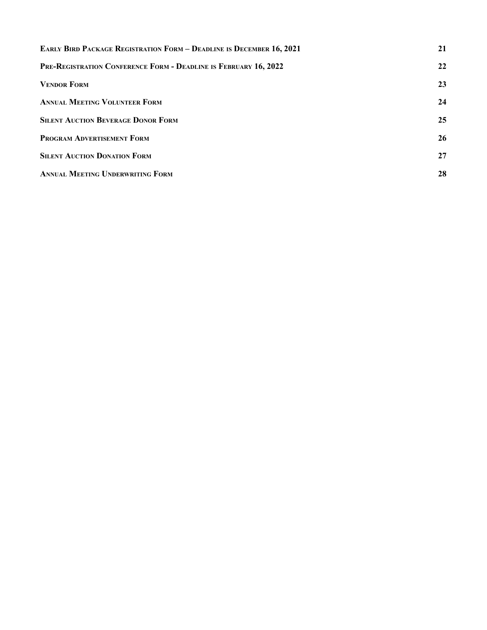<span id="page-2-0"></span>

| <b>EARLY BIRD PACKAGE REGISTRATION FORM - DEADLINE IS DECEMBER 16, 2021</b> | 21 |
|-----------------------------------------------------------------------------|----|
| PRE-REGISTRATION CONFERENCE FORM - DEADLINE IS FEBRUARY 16, 2022            | 22 |
| <b>VENDOR FORM</b>                                                          | 23 |
| <b>ANNUAL MEETING VOLUNTEER FORM</b>                                        | 24 |
| <b>SILENT AUCTION BEVERAGE DONOR FORM</b>                                   | 25 |
| PROGRAM ADVERTISEMENT FORM                                                  | 26 |
| <b>SILENT AUCTION DONATION FORM</b>                                         | 27 |
| <b>ANNUAL MEETING UNDERWRITING FORM</b>                                     | 28 |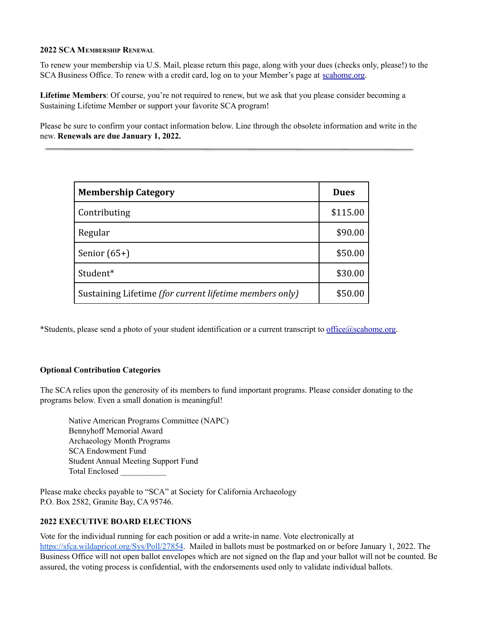#### <span id="page-3-0"></span>**2022 SCA MEMBERSHIP RENEWAL**

To renew your membership via U.S. Mail, please return this page, along with your dues (checks only, please!) to the SCA Business Office. To renew with a credit card, log on to your Member's page at [scahome.org.](http://www.scahome.org/)

**Lifetime Members**: Of course, you're not required to renew, but we ask that you please consider becoming a Sustaining Lifetime Member or support your favorite SCA program!

Please be sure to confirm your contact information below. Line through the obsolete information and write in the new. **Renewals are due January 1, 2022.**

| <b>Membership Category</b>                              | <b>Dues</b> |
|---------------------------------------------------------|-------------|
| Contributing                                            | \$115.00    |
| Regular                                                 | \$90.00     |
| Senior $(65+)$                                          | \$50.00     |
| Student*                                                | \$30.00     |
| Sustaining Lifetime (for current lifetime members only) | \$50.00     |

\*Students, please send a photo of your student identification or a current transcript to [office@scahome.org.](mailto:office@scahome.org)

# **Optional Contribution Categories**

The SCA relies upon the generosity of its members to fund important programs. Please consider donating to the programs below. Even a small donation is meaningful!

Native American Programs Committee (NAPC) Bennyhoff Memorial Award Archaeology Month Programs SCA Endowment Fund Student Annual Meeting Support Fund Total Enclosed \_\_\_\_\_\_\_\_\_\_\_

Please make checks payable to "SCA" at Society for California Archaeology P.O. Box 2582, Granite Bay, CA 95746.

## <span id="page-3-1"></span>**2022 EXECUTIVE BOARD ELECTIONS**

Vote for the individual running for each position or add a write-in name. Vote electronically at <https://sfca.wildapricot.org/Sys/Poll/27854>. Mailed in ballots must be postmarked on or before January 1, 2022. The Business Office will not open ballot envelopes which are not signed on the flap and your ballot will not be counted. Be assured, the voting process is confidential, with the endorsements used only to validate individual ballots.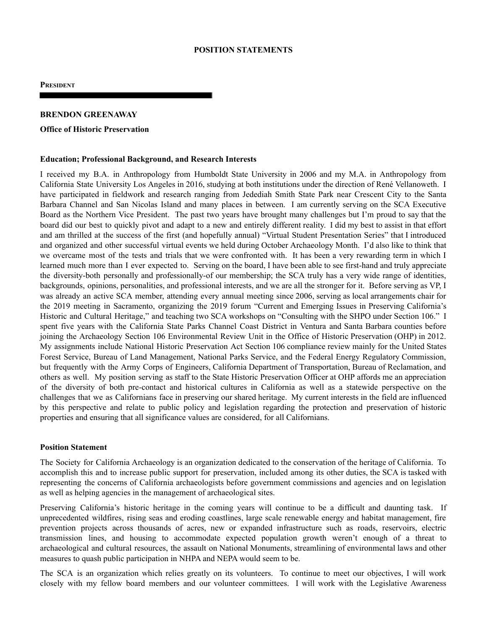#### **POSITION STATEMENTS**

**PRESIDENT**

## **BRENDON GREENAWAY**

#### **Office of Historic Preservation**

#### **Education; Professional Background, and Research Interests**

I received my B.A. in Anthropology from Humboldt State University in 2006 and my M.A. in Anthropology from California State University Los Angeles in 2016, studying at both institutions under the direction of René Vellanoweth. I have participated in fieldwork and research ranging from Jedediah Smith State Park near Crescent City to the Santa Barbara Channel and San Nicolas Island and many places in between. I am currently serving on the SCA Executive Board as the Northern Vice President. The past two years have brought many challenges but I'm proud to say that the board did our best to quickly pivot and adapt to a new and entirely different reality. I did my best to assist in that effort and am thrilled at the success of the first (and hopefully annual) "Virtual Student Presentation Series" that I introduced and organized and other successful virtual events we held during October Archaeology Month. I'd also like to think that we overcame most of the tests and trials that we were confronted with. It has been a very rewarding term in which I learned much more than I ever expected to. Serving on the board, I have been able to see first-hand and truly appreciate the diversity-both personally and professionally-of our membership; the SCA truly has a very wide range of identities, backgrounds, opinions, personalities, and professional interests, and we are all the stronger for it. Before serving as VP, I was already an active SCA member, attending every annual meeting since 2006, serving as local arrangements chair for the 2019 meeting in Sacramento, organizing the 2019 forum "Current and Emerging Issues in Preserving California's Historic and Cultural Heritage," and teaching two SCA workshops on "Consulting with the SHPO under Section 106." I spent five years with the California State Parks Channel Coast District in Ventura and Santa Barbara counties before joining the Archaeology Section 106 Environmental Review Unit in the Office of Historic Preservation (OHP) in 2012. My assignments include National Historic Preservation Act Section 106 compliance review mainly for the United States Forest Service, Bureau of Land Management, National Parks Service, and the Federal Energy Regulatory Commission, but frequently with the Army Corps of Engineers, California Department of Transportation, Bureau of Reclamation, and others as well. My position serving as staff to the State Historic Preservation Officer at OHP affords me an appreciation of the diversity of both pre-contact and historical cultures in California as well as a statewide perspective on the challenges that we as Californians face in preserving our shared heritage. My current interests in the field are influenced by this perspective and relate to public policy and legislation regarding the protection and preservation of historic properties and ensuring that all significance values are considered, for all Californians.

#### **Position Statement**

The Society for California Archaeology is an organization dedicated to the conservation of the heritage of California. To accomplish this and to increase public support for preservation, included among its other duties, the SCA is tasked with representing the concerns of California archaeologists before government commissions and agencies and on legislation as well as helping agencies in the management of archaeological sites.

Preserving California's historic heritage in the coming years will continue to be a difficult and daunting task. If unprecedented wildfires, rising seas and eroding coastlines, large scale renewable energy and habitat management, fire prevention projects across thousands of acres, new or expanded infrastructure such as roads, reservoirs, electric transmission lines, and housing to accommodate expected population growth weren't enough of a threat to archaeological and cultural resources, the assault on National Monuments, streamlining of environmental laws and other measures to quash public participation in NHPA and NEPA would seem to be.

The SCA is an organization which relies greatly on its volunteers. To continue to meet our objectives, I will work closely with my fellow board members and our volunteer committees. I will work with the Legislative Awareness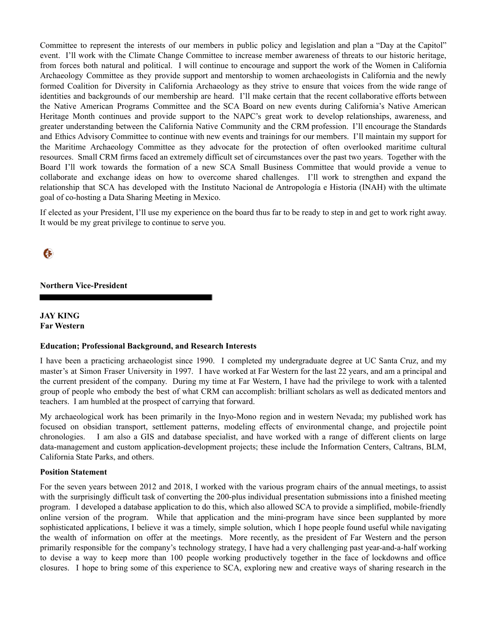Committee to represent the interests of our members in public policy and legislation and plan a "Day at the Capitol" event. I'll work with the Climate Change Committee to increase member awareness of threats to our historic heritage, from forces both natural and political. I will continue to encourage and support the work of the Women in California Archaeology Committee as they provide support and mentorship to women archaeologists in California and the newly formed Coalition for Diversity in California Archaeology as they strive to ensure that voices from the wide range of identities and backgrounds of our membership are heard. I'll make certain that the recent collaborative efforts between the Native American Programs Committee and the SCA Board on new events during California's Native American Heritage Month continues and provide support to the NAPC's great work to develop relationships, awareness, and greater understanding between the California Native Community and the CRM profession. I'll encourage the Standards and Ethics Advisory Committee to continue with new events and trainings for our members. I'll maintain my support for the Maritime Archaeology Committee as they advocate for the protection of often overlooked maritime cultural resources. Small CRM firms faced an extremely difficult set of circumstances over the past two years. Together with the Board I'll work towards the formation of a new SCA Small Business Committee that would provide a venue to collaborate and exchange ideas on how to overcome shared challenges. I'll work to strengthen and expand the relationship that SCA has developed with the Instituto Nacional de Antropología e Historia (INAH) with the ultimate goal of co-hosting a Data Sharing Meeting in Mexico.

If elected as your President, I'll use my experience on the board thus far to be ready to step in and get to work right away. It would be my great privilege to continue to serve you.

 $\epsilon$ 

**Northern Vice-President**

**JAY KING Far Western**

#### **Education; Professional Background, and Research Interests**

I have been a practicing archaeologist since 1990. I completed my undergraduate degree at UC Santa Cruz, and my master's at Simon Fraser University in 1997. I have worked at Far Western for the last 22 years, and am a principal and the current president of the company. During my time at Far Western, I have had the privilege to work with a talented group of people who embody the best of what CRM can accomplish: brilliant scholars as well as dedicated mentors and teachers. I am humbled at the prospect of carrying that forward.

My archaeological work has been primarily in the Inyo-Mono region and in western Nevada; my published work has focused on obsidian transport, settlement patterns, modeling effects of environmental change, and projectile point chronologies. I am also a GIS and database specialist, and have worked with a range of different clients on large data-management and custom application-development projects; these include the Information Centers, Caltrans, BLM, California State Parks, and others.

#### **Position Statement**

For the seven years between 2012 and 2018, I worked with the various program chairs of the annual meetings, to assist with the surprisingly difficult task of converting the 200-plus individual presentation submissions into a finished meeting program. I developed a database application to do this, which also allowed SCA to provide a simplified, mobile-friendly online version of the program. While that application and the mini-program have since been supplanted by more sophisticated applications, I believe it was a timely, simple solution, which I hope people found useful while navigating the wealth of information on offer at the meetings. More recently, as the president of Far Western and the person primarily responsible for the company's technology strategy, I have had a very challenging past year-and-a-half working to devise a way to keep more than 100 people working productively together in the face of lockdowns and office closures. I hope to bring some of this experience to SCA, exploring new and creative ways of sharing research in the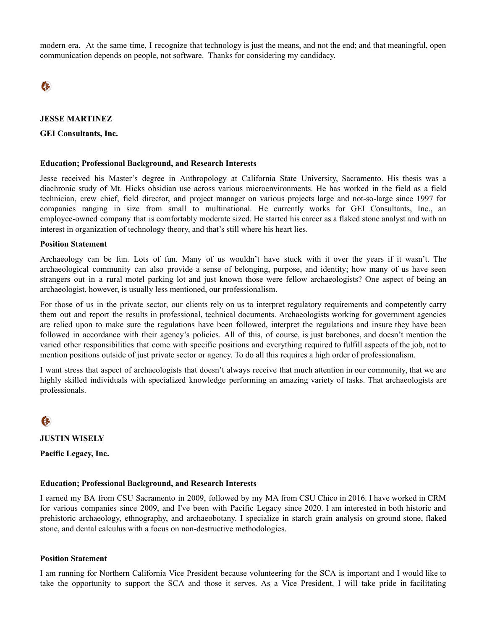modern era. At the same time, I recognize that technology is just the means, and not the end; and that meaningful, open communication depends on people, not software. Thanks for considering my candidacy.

 $\epsilon$ 

## **JESSE MARTINEZ**

#### **GEI Consultants, Inc.**

#### **Education; Professional Background, and Research Interests**

Jesse received his Master's degree in Anthropology at California State University, Sacramento. His thesis was a diachronic study of Mt. Hicks obsidian use across various microenvironments. He has worked in the field as a field technician, crew chief, field director, and project manager on various projects large and not-so-large since 1997 for companies ranging in size from small to multinational. He currently works for GEI Consultants, Inc., an employee-owned company that is comfortably moderate sized. He started his career as a flaked stone analyst and with an interest in organization of technology theory, and that's still where his heart lies.

#### **Position Statement**

Archaeology can be fun. Lots of fun. Many of us wouldn't have stuck with it over the years if it wasn't. The archaeological community can also provide a sense of belonging, purpose, and identity; how many of us have seen strangers out in a rural motel parking lot and just known those were fellow archaeologists? One aspect of being an archaeologist, however, is usually less mentioned, our professionalism.

For those of us in the private sector, our clients rely on us to interpret regulatory requirements and competently carry them out and report the results in professional, technical documents. Archaeologists working for government agencies are relied upon to make sure the regulations have been followed, interpret the regulations and insure they have been followed in accordance with their agency's policies. All of this, of course, is just barebones, and doesn't mention the varied other responsibilities that come with specific positions and everything required to fulfill aspects of the job, not to mention positions outside of just private sector or agency. To do all this requires a high order of professionalism.

I want stress that aspect of archaeologists that doesn't always receive that much attention in our community, that we are highly skilled individuals with specialized knowledge performing an amazing variety of tasks. That archaeologists are professionals.

 $\epsilon$ 

**JUSTIN WISELY**

**Pacific Legacy, Inc.**

#### **Education; Professional Background, and Research Interests**

I earned my BA from CSU Sacramento in 2009, followed by my MA from CSU Chico in 2016. I have worked in CRM for various companies since 2009, and I've been with Pacific Legacy since 2020. I am interested in both historic and prehistoric archaeology, ethnography, and archaeobotany. I specialize in starch grain analysis on ground stone, flaked stone, and dental calculus with a focus on non-destructive methodologies.

#### **Position Statement**

I am running for Northern California Vice President because volunteering for the SCA is important and I would like to take the opportunity to support the SCA and those it serves. As a Vice President, I will take pride in facilitating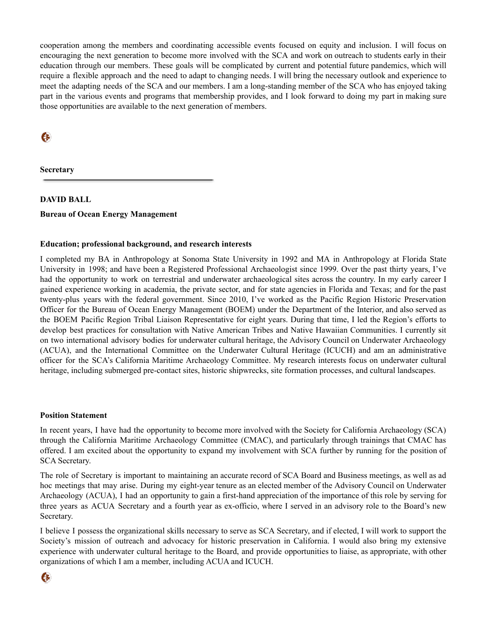cooperation among the members and coordinating accessible events focused on equity and inclusion. I will focus on encouraging the next generation to become more involved with the SCA and work on outreach to students early in their education through our members. These goals will be complicated by current and potential future pandemics, which will require a flexible approach and the need to adapt to changing needs. I will bring the necessary outlook and experience to meet the adapting needs of the SCA and our members. I am a long-standing member of the SCA who has enjoyed taking part in the various events and programs that membership provides, and I look forward to doing my part in making sure those opportunities are available to the next generation of members.

EF

**Secretary**

# **DAVID BALL Bureau of Ocean Energy Management**

## **Education; professional background, and research interests**

I completed my BA in Anthropology at Sonoma State University in 1992 and MA in Anthropology at Florida State University in 1998; and have been a Registered Professional Archaeologist since 1999. Over the past thirty years, I've had the opportunity to work on terrestrial and underwater archaeological sites across the country. In my early career I gained experience working in academia, the private sector, and for state agencies in Florida and Texas; and for the past twenty-plus years with the federal government. Since 2010, I've worked as the Pacific Region Historic Preservation Officer for the Bureau of Ocean Energy Management (BOEM) under the Department of the Interior, and also served as the BOEM Pacific Region Tribal Liaison Representative for eight years. During that time, I led the Region's efforts to develop best practices for consultation with Native American Tribes and Native Hawaiian Communities. I currently sit on two international advisory bodies for underwater cultural heritage, the Advisory Council on Underwater Archaeology (ACUA), and the International Committee on the Underwater Cultural Heritage (ICUCH) and am an administrative officer for the SCA's California Maritime Archaeology Committee. My research interests focus on underwater cultural heritage, including submerged pre-contact sites, historic shipwrecks, site formation processes, and cultural landscapes.

#### **Position Statement**

In recent years, I have had the opportunity to become more involved with the Society for California Archaeology (SCA) through the California Maritime Archaeology Committee (CMAC), and particularly through trainings that CMAC has offered. I am excited about the opportunity to expand my involvement with SCA further by running for the position of SCA Secretary.

The role of Secretary is important to maintaining an accurate record of SCA Board and Business meetings, as well as ad hoc meetings that may arise. During my eight-year tenure as an elected member of the Advisory Council on Underwater Archaeology (ACUA), I had an opportunity to gain a first-hand appreciation of the importance of this role by serving for three years as ACUA Secretary and a fourth year as ex-officio, where I served in an advisory role to the Board's new Secretary.

I believe I possess the organizational skills necessary to serve as SCA Secretary, and if elected, I will work to support the Society's mission of outreach and advocacy for historic preservation in California. I would also bring my extensive experience with underwater cultural heritage to the Board, and provide opportunities to liaise, as appropriate, with other organizations of which I am a member, including ACUA and ICUCH.

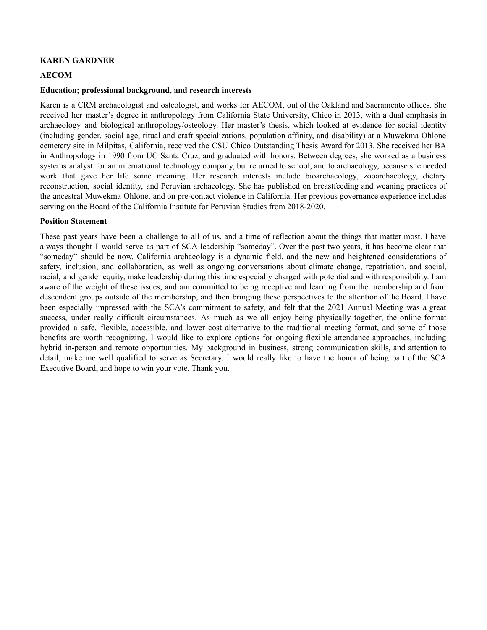#### **KAREN GARDNER**

#### **AECOM**

#### **Education; professional background, and research interests**

Karen is a CRM archaeologist and osteologist, and works for AECOM, out of the Oakland and Sacramento offices. She received her master's degree in anthropology from California State University, Chico in 2013, with a dual emphasis in archaeology and biological anthropology/osteology. Her master's thesis, which looked at evidence for social identity (including gender, social age, ritual and craft specializations, population affinity, and disability) at a Muwekma Ohlone cemetery site in Milpitas, California, received the CSU Chico Outstanding Thesis Award for 2013. She received her BA in Anthropology in 1990 from UC Santa Cruz, and graduated with honors. Between degrees, she worked as a business systems analyst for an international technology company, but returned to school, and to archaeology, because she needed work that gave her life some meaning. Her research interests include bioarchaeology, zooarchaeology, dietary reconstruction, social identity, and Peruvian archaeology. She has published on breastfeeding and weaning practices of the ancestral Muwekma Ohlone, and on pre-contact violence in California. Her previous governance experience includes serving on the Board of the California Institute for Peruvian Studies from 2018-2020.

#### **Position Statement**

These past years have been a challenge to all of us, and a time of reflection about the things that matter most. I have always thought I would serve as part of SCA leadership "someday". Over the past two years, it has become clear that "someday" should be now. California archaeology is a dynamic field, and the new and heightened considerations of safety, inclusion, and collaboration, as well as ongoing conversations about climate change, repatriation, and social, racial, and gender equity, make leadership during this time especially charged with potential and with responsibility. I am aware of the weight of these issues, and am committed to being receptive and learning from the membership and from descendent groups outside of the membership, and then bringing these perspectives to the attention of the Board. I have been especially impressed with the SCA's commitment to safety, and felt that the 2021 Annual Meeting was a great success, under really difficult circumstances. As much as we all enjoy being physically together, the online format provided a safe, flexible, accessible, and lower cost alternative to the traditional meeting format, and some of those benefits are worth recognizing. I would like to explore options for ongoing flexible attendance approaches, including hybrid in-person and remote opportunities. My background in business, strong communication skills, and attention to detail, make me well qualified to serve as Secretary. I would really like to have the honor of being part of the SCA Executive Board, and hope to win your vote. Thank you.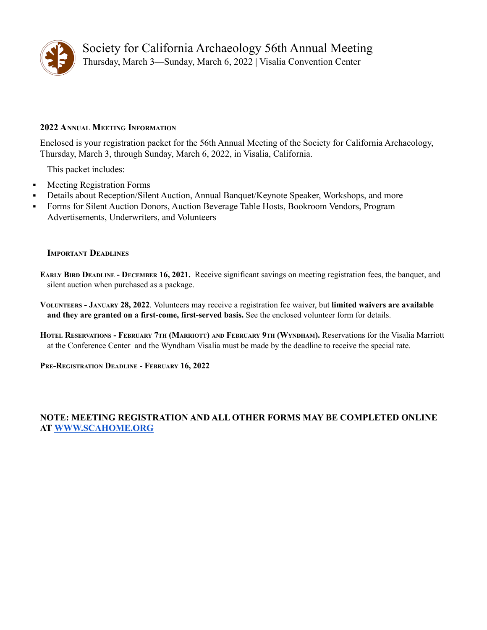

Society for California Archaeology 56th Annual Meeting Thursday, March 3—Sunday, March 6, 2022 | Visalia Convention Center

# <span id="page-9-0"></span>**2022 ANNUAL MEETING INFORMATION**

Enclosed is your registration packet for the 56th Annual Meeting of the Society for California Archaeology, Thursday, March 3, through Sunday, March 6, 2022, in Visalia, California.

This packet includes:

- Meeting Registration Forms
- Details about Reception/Silent Auction, Annual Banquet/Keynote Speaker, Workshops, and more
- Forms for Silent Auction Donors, Auction Beverage Table Hosts, Bookroom Vendors, Program Advertisements, Underwriters, and Volunteers

## **IMPORTANT DEADLINES**

**EARLY BIRD DEADLINE - DECEMBER 16, 2021.** Receive significant savings on meeting registration fees, the banquet, and silent auction when purchased as a package.

**VOLUNTEERS - JANUARY 28, 2022**. Volunteers may receive a registration fee waiver, but **limited waivers are available and they are granted on a first-come, first-served basis.** See the enclosed volunteer form for details.

HOTEL RESERVATIONS - FEBRUARY 7TH (MARRIOTT) AND FEBRUARY 9TH (WYNDHAM). Reservations for the Visalia Marriott at the Conference Center and the Wyndham Visalia must be made by the deadline to receive the special rate.

**PRE-REGISTRATION DEADLINE - FEBRUARY 16, 2022**

# **NOTE: MEETING REGISTRATION AND ALL OTHER FORMS MAY BE COMPLETED ONLINE AT [WWW.SCAHOME.ORG](http://www.scahome.org)**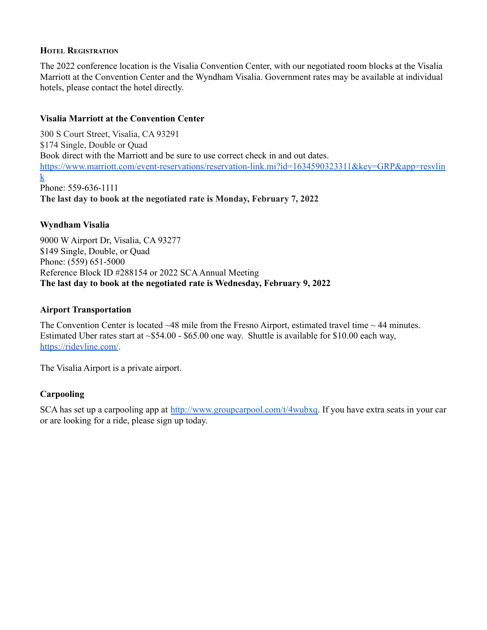# <span id="page-10-0"></span>**HOTEL REGISTRATION**

The 2022 conference location is the Visalia Convention Center, with our negotiated room blocks at the Visalia Marriott at the Convention Center and the Wyndham Visalia. Government rates may be available at individual hotels, please contact the hotel directly.

# <span id="page-10-1"></span>**Visalia Marriott at the Convention Center**

300 S Court Street, Visalia, CA 93291 \$174 Single, Double or Quad Book direct with the Marriott and be sure to use correct check in and out dates. [https://www.marriott.com/event-reservations/reservation-link.mi?id=1634590323311&key=GRP&app=resvlin](https://www.marriott.com/event-reservations/reservation-link.mi?id=1634590323311&key=GRP&app=resvlink)  $\bf{k}$  $\bf{k}$  $\bf{k}$ Phone: 559-636-1111 **The last day to book at the negotiated rate is Monday, February 7, 2022**

# <span id="page-10-2"></span>**Wyndham Visalia**

9000 W Airport Dr, Visalia, CA 93277 \$149 Single, Double, or Quad Phone: (559) 651-5000 Reference Block ID #288154 or 2022 SCAAnnual Meeting **The last day to book at the negotiated rate is Wednesday, February 9, 2022**

# <span id="page-10-3"></span>**Airport Transportation**

The Convention Center is located  $\sim$ 48 mile from the Fresno Airport, estimated travel time  $\sim$  44 minutes. Estimated Uber rates start at ~\$54.00 - \$65.00 one way. Shuttle is available for \$10.00 each way, <https://ridevline.com/>.

The Visalia Airport is a private airport.

# **Carpooling**

SCA has set up a carpooling app at [http://www.groupcarpool.com/t/4wubxq.](http://www.groupcarpool.com/t/4wubxq) If you have extra seats in your car or are looking for a ride, please sign up today.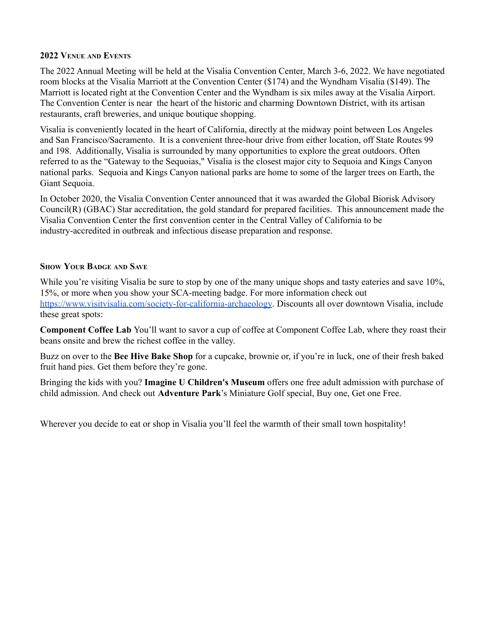# <span id="page-11-0"></span>**2022 VENUE AND EVENTS**

The 2022 Annual Meeting will be held at the Visalia Convention Center, March 3-6, 2022. We have negotiated room blocks at the Visalia Marriott at the Convention Center (\$174) and the Wyndham Visalia (\$149). The Marriott is located right at the Convention Center and the Wyndham is six miles away at the Visalia Airport. The Convention Center is near the heart of the historic and charming Downtown District, with its artisan restaurants, craft breweries, and unique boutique shopping.

Visalia is conveniently located in the heart of California, directly at the midway point between Los Angeles and San Francisco/Sacramento. It is a convenient three-hour drive from either location, off State Routes 99 and 198. Additionally, Visalia is surrounded by many opportunities to explore the great outdoors. Often referred to as the "Gateway to the Sequoias," Visalia is the closest major city to Sequoia and Kings Canyon national parks. Sequoia and Kings Canyon national parks are home to some of the larger trees on Earth, the Giant Sequoia.

In October 2020, the Visalia Convention Center announced that it was awarded the Global Biorisk Advisory Council(R) (GBAC) Star accreditation, the gold standard for prepared facilities. This announcement made the Visalia Convention Center the first convention center in the Central Valley of California to be industry-accredited in outbreak and infectious disease preparation and response.

# <span id="page-11-1"></span>**SHOW YOUR BADGE AND SAVE**

While you're visiting Visalia be sure to stop by one of the many unique shops and tasty eateries and save 10%, 15%, or more when you show your SCA-meeting badge. For more information check out <https://www.visitvisalia.com/society-for-california-archaeology>. Discounts all over downtown Visalia, include these great spots:

**Component Coffee Lab** You'll want to savor a cup of coffee at Component Coffee Lab, where they roast their beans onsite and brew the richest coffee in the valley.

Buzz on over to the **Bee Hive Bake Shop** for a cupcake, brownie or, if you're in luck, one of their fresh baked fruit hand pies. Get them before they're gone.

Bringing the kids with you? **Imagine U Children's Museum** offers one free adult admission with purchase of child admission. And check out **Adventure Park**'s Miniature Golf special, Buy one, Get one Free.

Wherever you decide to eat or shop in Visalia you'll feel the warmth of their small town hospitality!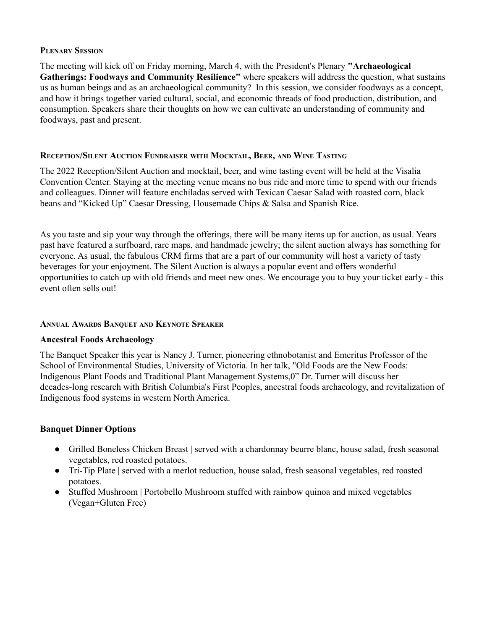# <span id="page-12-0"></span>**PLENARY SESSION**

The meeting will kick off on Friday morning, March 4, with the President's Plenary **"Archaeological Gatherings: Foodways and Community Resilience"** where speakers will address the question, what sustains us as human beings and as an archaeological community? In this session, we consider foodways as a concept, and how it brings together varied cultural, social, and economic threads of food production, distribution, and consumption. Speakers share their thoughts on how we can cultivate an understanding of community and foodways, past and present.

# <span id="page-12-1"></span>**RECEPTION/SILENT AUCTION FUNDRAISER WITH MOCKTAIL, BEER, AND WINE TASTING**

The 2022 Reception/Silent Auction and mocktail, beer, and wine tasting event will be held at the Visalia Convention Center. Staying at the meeting venue means no bus ride and more time to spend with our friends and colleagues. Dinner will feature enchiladas served with Texican Caesar Salad with roasted corn, black beans and "Kicked Up" Caesar Dressing, Housemade Chips & Salsa and Spanish Rice.

As you taste and sip your way through the offerings, there will be many items up for auction, as usual. Years past have featured a surfboard, rare maps, and handmade jewelry; the silent auction always has something for everyone. As usual, the fabulous CRM firms that are a part of our community will host a variety of tasty beverages for your enjoyment. The Silent Auction is always a popular event and offers wonderful opportunities to catch up with old friends and meet new ones. We encourage you to buy your ticket early - this event often sells out!

# <span id="page-12-2"></span>**ANNUAL AWARDS BANQUET AND KEYNOTE SPEAKER**

# <span id="page-12-3"></span>**Ancestral Foods Archaeology**

The Banquet Speaker this year is Nancy J. Turner, pioneering ethnobotanist and Emeritus Professor of the School of Environmental Studies, University of Victoria. In her talk, "Old Foods are the New Foods: Indigenous Plant Foods and Traditional Plant Management Systems,0" Dr. Turner will discuss her decades-long research with British Columbia's First Peoples, ancestral foods archaeology, and revitalization of Indigenous food systems in western North America.

# <span id="page-12-4"></span>**Banquet Dinner Options**

- Grilled Boneless Chicken Breast | served with a chardonnay beurre blanc, house salad, fresh seasonal vegetables, red roasted potatoes.
- Tri-Tip Plate | served with a merlot reduction, house salad, fresh seasonal vegetables, red roasted potatoes.
- Stuffed Mushroom | Portobello Mushroom stuffed with rainbow quinoa and mixed vegetables (Vegan+Gluten Free)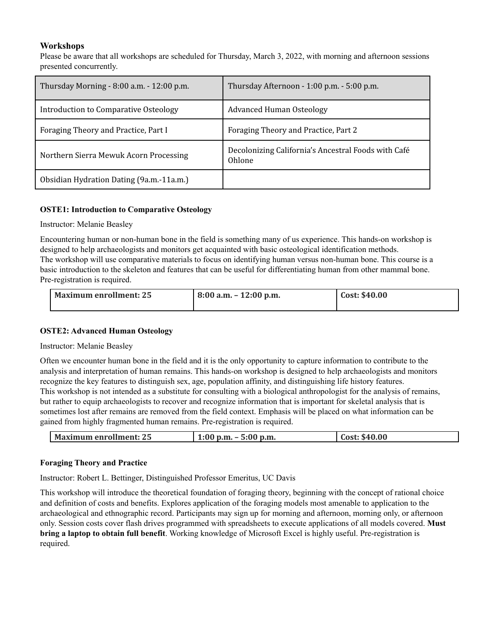# **Workshops**

Please be aware that all workshops are scheduled for Thursday, March 3, 2022, with morning and afternoon sessions presented concurrently.

| Thursday Morning - 8:00 a.m. - 12:00 p.m. | Thursday Afternoon - 1:00 p.m. - 5:00 p.m.                    |
|-------------------------------------------|---------------------------------------------------------------|
| Introduction to Comparative Osteology     | <b>Advanced Human Osteology</b>                               |
| Foraging Theory and Practice, Part I      | Foraging Theory and Practice, Part 2                          |
| Northern Sierra Mewuk Acorn Processing    | Decolonizing California's Ancestral Foods with Café<br>Ohlone |
| Obsidian Hydration Dating (9a.m.-11a.m.)  |                                                               |

# <span id="page-13-0"></span>**OSTE1: Introduction to Comparative Osteology**

# Instructor: Melanie Beasley

Encountering human or non-human bone in the field is something many of us experience. This hands-on workshop is designed to help archaeologists and monitors get acquainted with basic osteological identification methods. The workshop will use comparative materials to focus on identifying human versus non-human bone. This course is a basic introduction to the skeleton and features that can be useful for differentiating human from other mammal bone. Pre-registration is required.

| Maximum enrollment: 25 | $8:00$ a.m. $-12:00$ p.m. | Cost: \$40.00 |
|------------------------|---------------------------|---------------|
|                        |                           |               |

# <span id="page-13-1"></span>**OSTE2: Advanced Human Osteology**

Instructor: Melanie Beasley

Often we encounter human bone in the field and it is the only opportunity to capture information to contribute to the analysis and interpretation of human remains. This hands-on workshop is designed to help archaeologists and monitors recognize the key features to distinguish sex, age, population affinity, and distinguishing life history features. This workshop is not intended as a substitute for consulting with a biological anthropologist for the analysis of remains, but rather to equip archaeologists to recover and recognize information that is important for skeletal analysis that is sometimes lost after remains are removed from the field context. Emphasis will be placed on what information can be gained from highly fragmented human remains. Pre-registration is required.

|  | Maximum enrollment: 25 | $-5:00$ p.m.<br>$1:00$ p.m. | Cost: \$40.00 |
|--|------------------------|-----------------------------|---------------|
|--|------------------------|-----------------------------|---------------|

# <span id="page-13-2"></span>**Foraging Theory and Practice**

Instructor: Robert L. Bettinger, Distinguished Professor Emeritus, UC Davis

This workshop will introduce the theoretical foundation of foraging theory, beginning with the concept of rational choice and definition of costs and benefits. Explores application of the foraging models most amenable to application to the archaeological and ethnographic record. Participants may sign up for morning and afternoon, morning only, or afternoon only. Session costs cover flash drives programmed with spreadsheets to execute applications of all models covered. **Must bring a laptop to obtain full benefit**. Working knowledge of Microsoft Excel is highly useful. Pre-registration is required.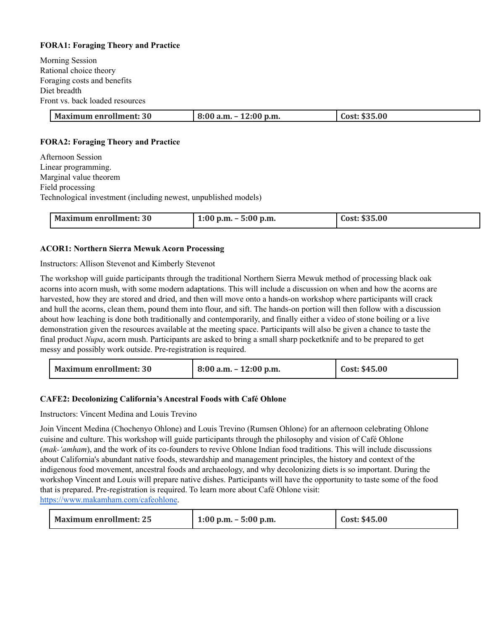# <span id="page-14-0"></span>**FORA1: Foraging Theory and Practice**

Morning Session Rational choice theory Foraging costs and benefits Diet breadth Front vs. back loaded resources

| <b>Maximum enrollment: 30</b> | $\frac{1}{2}$ 8:00 a.m. - 12:00 p.m. | Cost: \$35.00 |
|-------------------------------|--------------------------------------|---------------|

# <span id="page-14-1"></span>**FORA2: Foraging Theory and Practice**

Afternoon Session Linear programming. Marginal value theorem Field processing Technological investment (including newest, unpublished models)

| Maximum enrollment: 30 | $1:00$ p.m. $-5:00$ p.m. | Cost: \$35.00 |
|------------------------|--------------------------|---------------|
|                        |                          |               |

## <span id="page-14-2"></span>**ACOR1: Northern Sierra Mewuk Acorn Processing**

## Instructors: Allison Stevenot and Kimberly Stevenot

The workshop will guide participants through the traditional Northern Sierra Mewuk method of processing black oak acorns into acorn mush, with some modern adaptations. This will include a discussion on when and how the acorns are harvested, how they are stored and dried, and then will move onto a hands-on workshop where participants will crack and hull the acorns, clean them, pound them into flour, and sift. The hands-on portion will then follow with a discussion about how leaching is done both traditionally and contemporarily, and finally either a video of stone boiling or a live demonstration given the resources available at the meeting space. Participants will also be given a chance to taste the final product *Nupa*, acorn mush. Participants are asked to bring a small sharp pocketknife and to be prepared to get messy and possibly work outside. Pre-registration is required.

| <b>Maximum enrollment: 30</b> | $8:00$ a.m. $-12:00$ p.m. | Cost: \$45.00 |
|-------------------------------|---------------------------|---------------|
|-------------------------------|---------------------------|---------------|

#### <span id="page-14-3"></span>**CAFE2: Decolonizing California's Ancestral Foods with Café Ohlone**

Instructors: Vincent Medina and Louis Trevino

Join Vincent Medina (Chochenyo Ohlone) and Louis Trevino (Rumsen Ohlone) for an afternoon celebrating Ohlone cuisine and culture. This workshop will guide participants through the philosophy and vision of Café Ohlone (*mak-'amham*), and the work of its co-founders to revive Ohlone Indian food traditions. This will include discussions about California's abundant native foods, stewardship and management principles, the history and context of the indigenous food movement, ancestral foods and archaeology, and why decolonizing diets is so important. During the workshop Vincent and Louis will prepare native dishes. Participants will have the opportunity to taste some of the food that is prepared. Pre-registration is required. To learn more about Café Ohlone visit: [https://www.makamham.com/cafeohlone.](https://www.makamham.com/cafeohlone)

| <b>Maximum enrollment: 25</b> | $1:00 \text{ p.m.} - 5:00 \text{ p.m.}$ | Cost: \$45.00 |
|-------------------------------|-----------------------------------------|---------------|
|-------------------------------|-----------------------------------------|---------------|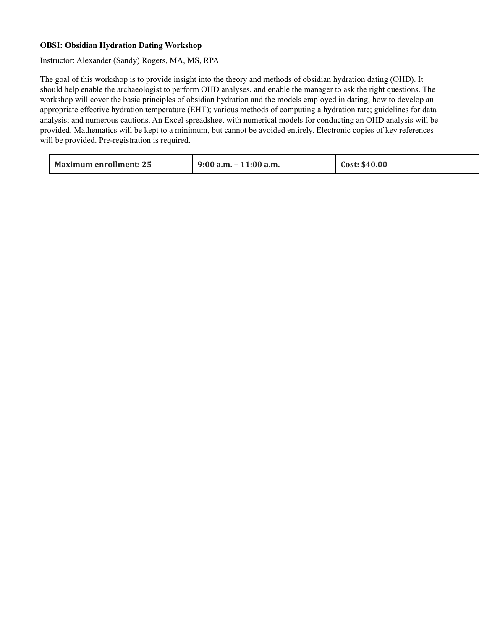# <span id="page-15-0"></span>**OBSI: Obsidian Hydration Dating Workshop**

Instructor: Alexander (Sandy) Rogers, MA, MS, RPA

The goal of this workshop is to provide insight into the theory and methods of obsidian hydration dating (OHD). It should help enable the archaeologist to perform OHD analyses, and enable the manager to ask the right questions. The workshop will cover the basic principles of obsidian hydration and the models employed in dating; how to develop an appropriate effective hydration temperature (EHT); various methods of computing a hydration rate; guidelines for data analysis; and numerous cautions. An Excel spreadsheet with numerical models for conducting an OHD analysis will be provided. Mathematics will be kept to a minimum, but cannot be avoided entirely. Electronic copies of key references will be provided. Pre-registration is required.

| <b>Maximum enrollment: 25</b> | $9:00$ a.m. $-11:00$ a.m. | Cost: \$40.00 |
|-------------------------------|---------------------------|---------------|
|-------------------------------|---------------------------|---------------|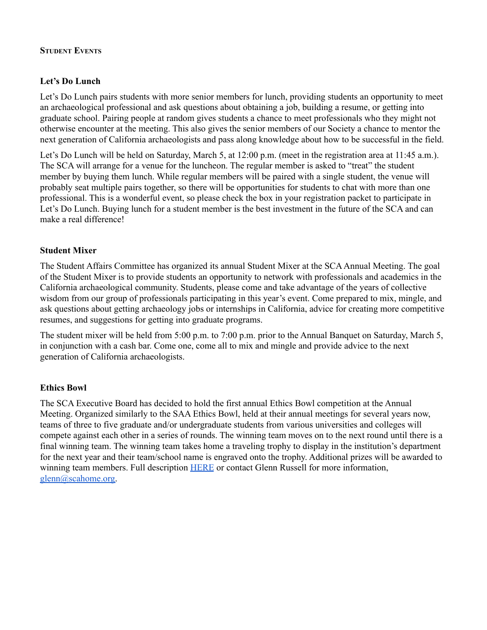# <span id="page-16-0"></span>**STUDENT EVENTS**

# <span id="page-16-1"></span>**Let's Do Lunch**

Let's Do Lunch pairs students with more senior members for lunch, providing students an opportunity to meet an archaeological professional and ask questions about obtaining a job, building a resume, or getting into graduate school. Pairing people at random gives students a chance to meet professionals who they might not otherwise encounter at the meeting. This also gives the senior members of our Society a chance to mentor the next generation of California archaeologists and pass along knowledge about how to be successful in the field.

Let's Do Lunch will be held on Saturday, March 5, at 12:00 p.m. (meet in the registration area at 11:45 a.m.). The SCA will arrange for a venue for the luncheon. The regular member is asked to "treat" the student member by buying them lunch. While regular members will be paired with a single student, the venue will probably seat multiple pairs together, so there will be opportunities for students to chat with more than one professional. This is a wonderful event, so please check the box in your registration packet to participate in Let's Do Lunch. Buying lunch for a student member is the best investment in the future of the SCA and can make a real difference!

# <span id="page-16-2"></span>**Student Mixer**

The Student Affairs Committee has organized its annual Student Mixer at the SCAAnnual Meeting. The goal of the Student Mixer is to provide students an opportunity to network with professionals and academics in the California archaeological community. Students, please come and take advantage of the years of collective wisdom from our group of professionals participating in this year's event. Come prepared to mix, mingle, and ask questions about getting archaeology jobs or internships in California, advice for creating more competitive resumes, and suggestions for getting into graduate programs.

The student mixer will be held from 5:00 p.m. to 7:00 p.m. prior to the Annual Banquet on Saturday, March 5, in conjunction with a cash bar. Come one, come all to mix and mingle and provide advice to the next generation of California archaeologists.

# <span id="page-16-3"></span>**Ethics Bowl**

The SCA Executive Board has decided to hold the first annual Ethics Bowl competition at the Annual Meeting. Organized similarly to the SAA Ethics Bowl, held at their annual meetings for several years now, teams of three to five graduate and/or undergraduate students from various universities and colleges will compete against each other in a series of rounds. The winning team moves on to the next round until there is a final winning team. The winning team takes home a traveling trophy to display in the institution's department for the next year and their team/school name is engraved onto the trophy. Additional prizes will be awarded to winning team members. Full description **[HERE](https://scahome.org/wp-content/uploads/2021/10/SCA-Ethics-Bowl.docx)** or contact Glenn Russell for more information, [glenn@scahome.org.](mailto:glenn@scahome.org)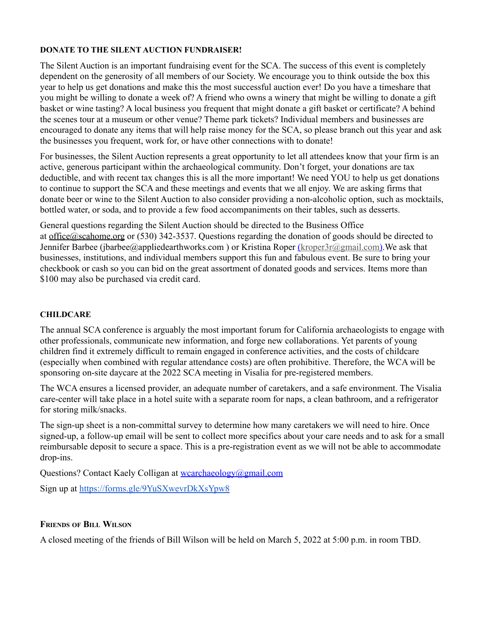# <span id="page-17-0"></span>**DONATE TO THE SILENT AUCTION FUNDRAISER!**

The Silent Auction is an important fundraising event for the SCA. The success of this event is completely dependent on the generosity of all members of our Society. We encourage you to think outside the box this year to help us get donations and make this the most successful auction ever! Do you have a timeshare that you might be willing to donate a week of? A friend who owns a winery that might be willing to donate a gift basket or wine tasting? A local business you frequent that might donate a gift basket or certificate? A behind the scenes tour at a museum or other venue? Theme park tickets? Individual members and businesses are encouraged to donate any items that will help raise money for the SCA, so please branch out this year and ask the businesses you frequent, work for, or have other connections with to donate!

For businesses, the Silent Auction represents a great opportunity to let all attendees know that your firm is an active, generous participant within the archaeological community. Don't forget, your donations are tax deductible, and with recent tax changes this is all the more important! We need YOU to help us get donations to continue to support the SCA and these meetings and events that we all enjoy. We are asking firms that donate beer or wine to the Silent Auction to also consider providing a non-alcoholic option, such as mocktails, bottled water, or soda, and to provide a few food accompaniments on their tables, such as desserts.

General questions regarding the Silent Auction should be directed to the Business Office at [office@scahome.org](mailto:office@scahome.org) or (530) 342-3537. Questions regarding the donation of goods should be directed to Jennifer Barbee (jbarbee@appliedearthworks.com) or Kristina Roper (kroper3r@gmail.com). We ask that businesses, institutions, and individual members support this fun and fabulous event. Be sure to bring your checkbook or cash so you can bid on the great assortment of donated goods and services. Items more than \$100 may also be purchased via credit card.

# <span id="page-17-1"></span>**CHILDCARE**

The annual SCA conference is arguably the most important forum for California archaeologists to engage with other professionals, communicate new information, and forge new collaborations. Yet parents of young children find it extremely difficult to remain engaged in conference activities, and the costs of childcare (especially when combined with regular attendance costs) are often prohibitive. Therefore, the WCA will be sponsoring on-site daycare at the 2022 SCA meeting in Visalia for pre-registered members.

The WCA ensures a licensed provider, an adequate number of caretakers, and a safe environment. The Visalia care-center will take place in a hotel suite with a separate room for naps, a clean bathroom, and a refrigerator for storing milk/snacks.

The sign-up sheet is a non-committal survey to determine how many caretakers we will need to hire. Once signed-up, a follow-up email will be sent to collect more specifics about your care needs and to ask for a small reimbursable deposit to secure a space. This is a pre-registration event as we will not be able to accommodate drop-ins.

Questions? Contact Kaely Colligan at [wcarchaeology@gmail.com](mailto:wcachaeology@gmail.com)

Sign up at <https://forms.gle/9YuSXwevrDkXsYpw8>

# <span id="page-17-2"></span>**FRIENDS OF BILL WILSON**

A closed meeting of the friends of Bill Wilson will be held on March 5, 2022 at 5:00 p.m. in room TBD.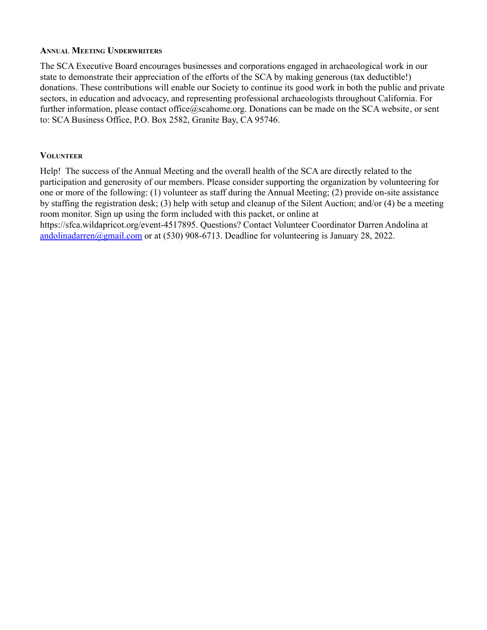# <span id="page-18-0"></span>**ANNUAL MEETING UNDERWRITERS**

The SCA Executive Board encourages businesses and corporations engaged in archaeological work in our state to demonstrate their appreciation of the efforts of the SCA by making generous (tax deductible!) donations. These contributions will enable our Society to continue its good work in both the public and private sectors, in education and advocacy, and representing professional archaeologists throughout California. For further information, please contact office@scahome.org. Donations can be made on the SCA [website](https://scahome.org/sca-annual-meeting/annual-meeting-underwriter-form/), or sent to: SCA Business Office, P.O. Box 2582, Granite Bay, CA 95746.

# <span id="page-18-1"></span>**VOLUNTEER**

Help! The success of the Annual Meeting and the overall health of the SCA are directly related to the participation and generosity of our members. Please consider supporting the organization by volunteering for one or more of the following: (1) volunteer as staff during the Annual Meeting; (2) provide on-site assistance by staffing the registration desk; (3) help with setup and cleanup of the Silent Auction; and/or (4) be a meeting room monitor. Sign up using the form included with this packet, or online at https://sfca.wildapricot.org/event-4517895. Questions? Contact Volunteer Coordinator Darren Andolina at [andolinadarren@gmail.com](mailto:andolinadarren@gmail.com%20) or at (530) 908-6713. Deadline for volunteering is January 28, 2022.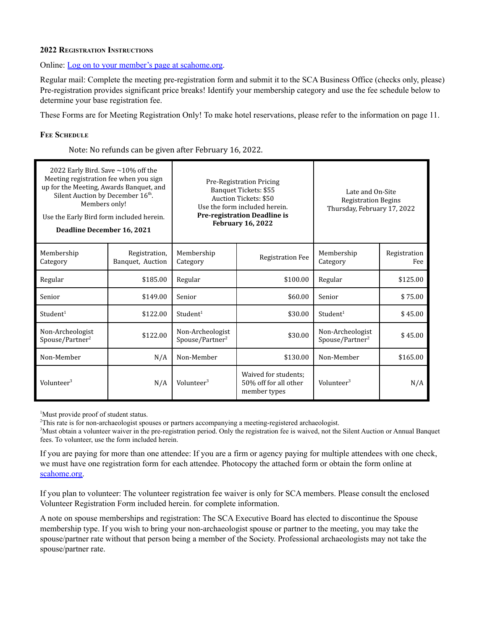#### **2022 REGISTRATION INSTRUCTIONS**

#### Online: [Log on to your member's page at scahome.org](https://scahome.org/memb/login.php).

Regular mail: Complete the meeting pre-registration form and submit it to the SCA Business Office (checks only, please) Pre-registration provides significant price breaks! Identify your membership category and use the fee schedule below to determine your base registration fee.

These Forms are for Meeting Registration Only! To make hotel reservations, please refer to the information on page 11.

#### <span id="page-19-0"></span>**FEE SCHEDULE**

Note: No refunds can be given after February 16, 2022.

| 2022 Early Bird. Save $\sim$ 10% off the<br>Meeting registration fee when you sign<br>up for the Meeting, Awards Banquet, and<br>Silent Auction by December 16th.<br>Members only!<br>Use the Early Bird form included herein.<br>Deadline December 16, 2021 |                                   |                                                 | Pre-Registration Pricing<br>Banquet Tickets: \$55<br>Auction Tickets: \$50<br>Use the form included herein.<br><b>Pre-registration Deadline is</b><br><b>February 16, 2022</b> | Late and On-Site<br><b>Registration Begins</b><br>Thursday, February 17, 2022 |                     |
|--------------------------------------------------------------------------------------------------------------------------------------------------------------------------------------------------------------------------------------------------------------|-----------------------------------|-------------------------------------------------|--------------------------------------------------------------------------------------------------------------------------------------------------------------------------------|-------------------------------------------------------------------------------|---------------------|
| Membership<br>Category                                                                                                                                                                                                                                       | Registration,<br>Banquet, Auction | Membership<br>Category                          | <b>Registration Fee</b>                                                                                                                                                        | Membership<br>Category                                                        | Registration<br>Fee |
| Regular                                                                                                                                                                                                                                                      | \$185.00                          | Regular                                         | \$100.00                                                                                                                                                                       | Regular                                                                       | \$125.00            |
| Senior                                                                                                                                                                                                                                                       | \$149.00                          | Senior                                          | \$60.00                                                                                                                                                                        | Senior                                                                        | \$75.00             |
| Student <sup>1</sup>                                                                                                                                                                                                                                         | \$122.00                          | Student <sup>1</sup>                            | \$30.00                                                                                                                                                                        | Student <sup>1</sup>                                                          | \$45.00             |
| Non-Archeologist<br>Spouse/Partner <sup>2</sup>                                                                                                                                                                                                              | \$122.00                          | Non-Archeologist<br>Spouse/Partner <sup>2</sup> | \$30.00                                                                                                                                                                        | Non-Archeologist<br>Spouse/Partner <sup>2</sup>                               | \$45.00             |
| Non-Member                                                                                                                                                                                                                                                   | N/A                               | Non-Member                                      | \$130.00                                                                                                                                                                       | Non-Member                                                                    | \$165.00            |
| Volunteer <sup>3</sup>                                                                                                                                                                                                                                       | N/A                               | Volunteer <sup>3</sup>                          | Waived for students;<br>50% off for all other<br>member types                                                                                                                  | Volunteer <sup>3</sup>                                                        | N/A                 |

<sup>1</sup>Must provide proof of student status.

<sup>2</sup>This rate is for non-archaeologist spouses or partners accompanying a meeting-registered archaeologist.

<sup>3</sup>Must obtain a volunteer waiver in the pre-registration period. Only the registration fee is waived, not the Silent Auction or Annual Banquet fees. To volunteer, use the form included herein.

If you are paying for more than one attendee: If you are a firm or agency paying for multiple attendees with one check, we must have one registration form for each attendee. Photocopy the attached form or obtain the form online at [scahome.org.](http://www.scahome.org/)

If you plan to volunteer: The volunteer registration fee waiver is only for SCA members. Please consult the enclosed Volunteer Registration Form included herein. for complete information.

A note on spouse memberships and registration: The SCA Executive Board has elected to discontinue the Spouse membership type. If you wish to bring your non-archaeologist spouse or partner to the meeting, you may take the spouse/partner rate without that person being a member of the Society. Professional archaeologists may not take the spouse/partner rate.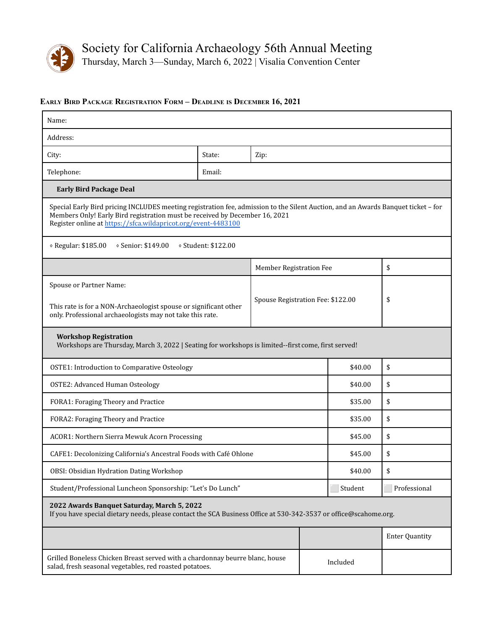

 $\mathbf{r}$ 

Thursday, March 3—Sunday, March 6, 2022 | Visalia Convention Center

## **EARLY BIRD PACKAGE REGISTRATION FORM – DEADLINE IS DECEMBER 16, 2021**

| Name:                                                                                                                                                                                                                                                                             |                                                             |                         |         |          |                       |
|-----------------------------------------------------------------------------------------------------------------------------------------------------------------------------------------------------------------------------------------------------------------------------------|-------------------------------------------------------------|-------------------------|---------|----------|-----------------------|
| Address:                                                                                                                                                                                                                                                                          |                                                             |                         |         |          |                       |
| City:                                                                                                                                                                                                                                                                             | State:                                                      | Zip:                    |         |          |                       |
| Telephone:                                                                                                                                                                                                                                                                        | Email:                                                      |                         |         |          |                       |
| <b>Early Bird Package Deal</b>                                                                                                                                                                                                                                                    |                                                             |                         |         |          |                       |
| Special Early Bird pricing INCLUDES meeting registration fee, admission to the Silent Auction, and an Awards Banquet ticket - for<br>Members Only! Early Bird registration must be received by December 16, 2021<br>Register online at https://sfca.wildapricot.org/event-4483100 |                                                             |                         |         |          |                       |
| © Regular: \$185.00<br>◇ Senior: \$149.00                                                                                                                                                                                                                                         | § Student: \$122.00                                         |                         |         |          |                       |
|                                                                                                                                                                                                                                                                                   |                                                             | Member Registration Fee |         |          | \$                    |
| Spouse or Partner Name:<br>Spouse Registration Fee: \$122.00<br>This rate is for a NON-Archaeologist spouse or significant other<br>only. Professional archaeologists may not take this rate.                                                                                     |                                                             |                         |         | \$       |                       |
| <b>Workshop Registration</b><br>Workshops are Thursday, March 3, 2022   Seating for workshops is limited--first come, first served!                                                                                                                                               |                                                             |                         |         |          |                       |
| <b>OSTE1: Introduction to Comparative Osteology</b>                                                                                                                                                                                                                               |                                                             |                         |         | \$40.00  | \$                    |
| <b>OSTE2: Advanced Human Osteology</b>                                                                                                                                                                                                                                            |                                                             |                         | \$40.00 | \$       |                       |
| FORA1: Foraging Theory and Practice                                                                                                                                                                                                                                               |                                                             |                         |         | \$35.00  | \$                    |
| FORA2: Foraging Theory and Practice                                                                                                                                                                                                                                               |                                                             |                         |         | \$35.00  | \$                    |
| ACOR1: Northern Sierra Mewuk Acorn Processing                                                                                                                                                                                                                                     |                                                             |                         |         | \$45.00  | \$                    |
| CAFE1: Decolonizing California's Ancestral Foods with Café Ohlone                                                                                                                                                                                                                 |                                                             |                         |         | \$45.00  | \$                    |
| OBSI: Obsidian Hydration Dating Workshop                                                                                                                                                                                                                                          |                                                             |                         |         | \$40.00  | \$                    |
|                                                                                                                                                                                                                                                                                   | Student/Professional Luncheon Sponsorship: "Let's Do Lunch" |                         |         | Student  | Professional          |
| 2022 Awards Banquet Saturday, March 5, 2022<br>If you have special dietary needs, please contact the SCA Business Office at 530-342-3537 or office@scahome.org.                                                                                                                   |                                                             |                         |         |          |                       |
|                                                                                                                                                                                                                                                                                   |                                                             |                         |         |          | <b>Enter Quantity</b> |
| Grilled Boneless Chicken Breast served with a chardonnay beurre blanc, house<br>salad, fresh seasonal vegetables, red roasted potatoes.                                                                                                                                           |                                                             |                         |         | Included |                       |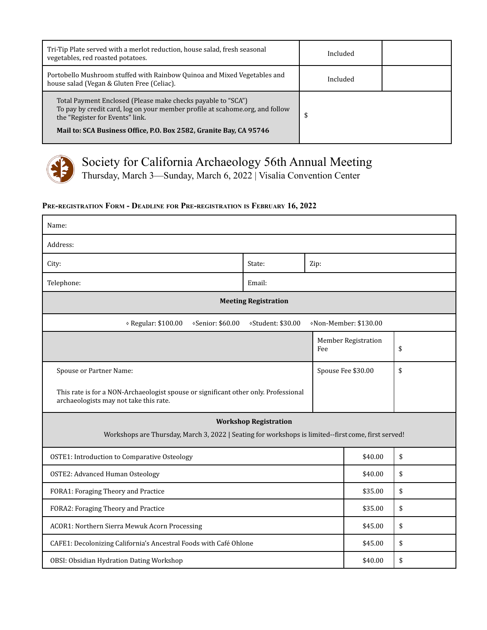| Tri-Tip Plate served with a merlot reduction, house salad, fresh seasonal<br>vegetables, red roasted potatoes.                                                                  | Included |  |
|---------------------------------------------------------------------------------------------------------------------------------------------------------------------------------|----------|--|
| Portobello Mushroom stuffed with Rainbow Quinoa and Mixed Vegetables and<br>house salad (Vegan & Gluten Free (Celiac).                                                          | Included |  |
| Total Payment Enclosed (Please make checks payable to "SCA")<br>To pay by credit card, log on your member profile at scahome.org, and follow<br>the "Register for Events" link. | \$       |  |
| Mail to: SCA Business Office, P.O. Box 2582, Granite Bay, CA 95746                                                                                                              |          |  |



Thursday, March 3—Sunday, March 6, 2022 | Visalia Convention Center

# **PRE-REGISTRATION FORM - DEADLINE FOR PRE-REGISTRATION IS FEBRUARY 16, 2022**

| Name:                                                                                                                               |                             |      |                       |    |  |
|-------------------------------------------------------------------------------------------------------------------------------------|-----------------------------|------|-----------------------|----|--|
| Address:                                                                                                                            |                             |      |                       |    |  |
| City:                                                                                                                               | State:                      | Zip: |                       |    |  |
| Telephone:                                                                                                                          | Email:                      |      |                       |    |  |
|                                                                                                                                     | <b>Meeting Registration</b> |      |                       |    |  |
| ◇ Regular: \$100.00<br>«Senior: \$60.00                                                                                             | ⊗Student: \$30.00           |      | «Non-Member: \$130.00 |    |  |
| Fee                                                                                                                                 |                             |      | Member Registration   | \$ |  |
| Spouse or Partner Name:                                                                                                             |                             |      | Spouse Fee \$30.00    | \$ |  |
| This rate is for a NON-Archaeologist spouse or significant other only. Professional<br>archaeologists may not take this rate.       |                             |      |                       |    |  |
| <b>Workshop Registration</b><br>Workshops are Thursday, March 3, 2022   Seating for workshops is limited--first come, first served! |                             |      |                       |    |  |
| <b>OSTE1: Introduction to Comparative Osteology</b>                                                                                 |                             |      | \$40.00               | \$ |  |
| <b>OSTE2: Advanced Human Osteology</b>                                                                                              |                             |      | \$40.00               | \$ |  |
| FORA1: Foraging Theory and Practice                                                                                                 |                             |      | \$35.00               | \$ |  |
| FORA2: Foraging Theory and Practice                                                                                                 |                             |      | \$35.00               | \$ |  |
| ACOR1: Northern Sierra Mewuk Acorn Processing                                                                                       |                             |      | \$45.00               | \$ |  |
| CAFE1: Decolonizing California's Ancestral Foods with Café Ohlone                                                                   |                             |      | \$45.00               | \$ |  |
| OBSI: Obsidian Hydration Dating Workshop                                                                                            |                             |      | \$40.00               | \$ |  |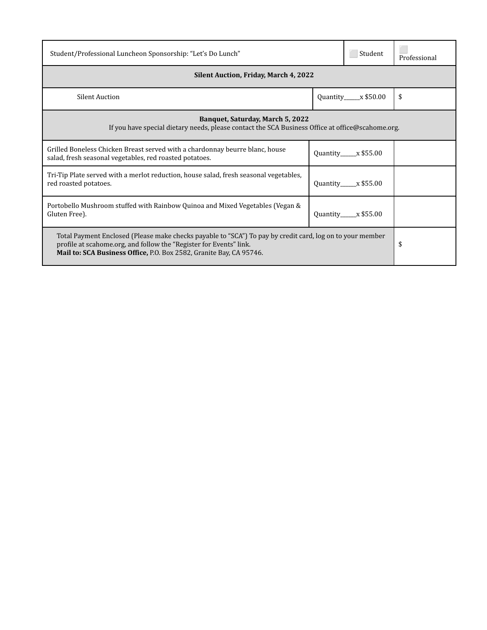| Student/Professional Luncheon Sponsorship: "Let's Do Lunch"                                                                                                                                                                                            |  | Student                | Professional |  |
|--------------------------------------------------------------------------------------------------------------------------------------------------------------------------------------------------------------------------------------------------------|--|------------------------|--------------|--|
| Silent Auction, Friday, March 4, 2022                                                                                                                                                                                                                  |  |                        |              |  |
| <b>Silent Auction</b><br>Quantity $x $50.00$                                                                                                                                                                                                           |  | \$                     |              |  |
| <b>Banquet, Saturday, March 5, 2022</b><br>If you have special dietary needs, please contact the SCA Business Office at office@scahome.org.                                                                                                            |  |                        |              |  |
| Grilled Boneless Chicken Breast served with a chardonnay beurre blanc, house<br>salad, fresh seasonal vegetables, red roasted potatoes.                                                                                                                |  | $Quantity$ $x$ \$55.00 |              |  |
| Tri-Tip Plate served with a merlot reduction, house salad, fresh seasonal vegetables,<br>red roasted potatoes.                                                                                                                                         |  | $Quantity$ $x $55.00$  |              |  |
| Portobello Mushroom stuffed with Rainbow Quinoa and Mixed Vegetables (Vegan &<br>Gluten Free).                                                                                                                                                         |  | $Quantity$ $x $55.00$  |              |  |
| Total Payment Enclosed (Please make checks payable to "SCA") To pay by credit card, log on to your member<br>profile at scahome.org, and follow the "Register for Events" link.<br>Mail to: SCA Business Office, P.O. Box 2582, Granite Bay, CA 95746. |  |                        | \$           |  |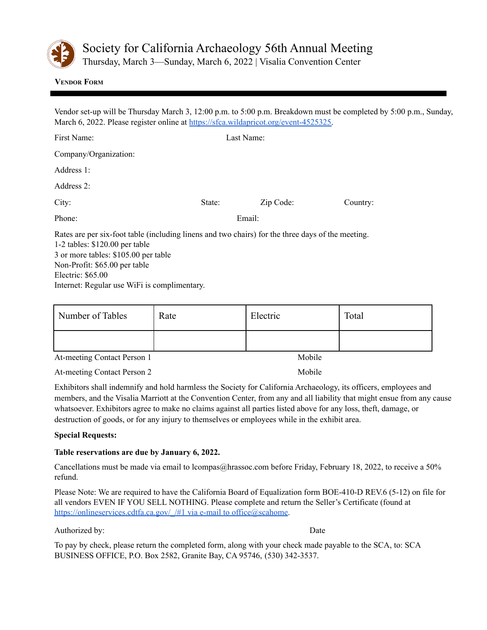

Thursday, March 3—Sunday, March 6, 2022 | Visalia Convention Center

## <span id="page-23-0"></span>**VENDOR FORM**

Vendor set-up will be Thursday March 3, 12:00 p.m. to 5:00 p.m. Breakdown must be completed by 5:00 p.m., Sunday, March 6, 2022. Please register online at [https://sfca.wildapricot.org/event-4525325.](https://sfca.wildapricot.org/event-4525325)

| First Name:                                                                                                                                                                                                                         | Last Name: |           |          |  |
|-------------------------------------------------------------------------------------------------------------------------------------------------------------------------------------------------------------------------------------|------------|-----------|----------|--|
| Company/Organization:                                                                                                                                                                                                               |            |           |          |  |
| Address 1:                                                                                                                                                                                                                          |            |           |          |  |
| Address 2:                                                                                                                                                                                                                          |            |           |          |  |
| City:                                                                                                                                                                                                                               | State:     | Zip Code: | Country: |  |
| Phone:                                                                                                                                                                                                                              |            | Email:    |          |  |
| Rates are per six-foot table (including linens and two chairs) for the three days of the meeting.<br>1-2 tables: $$120.00$ per table<br>3 or more tables: \$105.00 per table<br>Non-Profit: \$65.00 per table<br>Electric: $$65.00$ |            |           |          |  |
|                                                                                                                                                                                                                                     |            |           |          |  |

Internet: Regular use WiFi is complimentary.

| Number of Tables | Rate | Electric | Total |
|------------------|------|----------|-------|
|                  |      |          |       |

At-meeting Contact Person 1 Mobile

At-meeting Contact Person 2 Mobile

Exhibitors shall indemnify and hold harmless the Society for California Archaeology, its officers, employees and members, and the Visalia Marriott at the Convention Center, from any and all liability that might ensue from any cause whatsoever. Exhibitors agree to make no claims against all parties listed above for any loss, theft, damage, or destruction of goods, or for any injury to themselves or employees while in the exhibit area.

# **Special Requests:**

# **Table reservations are due by January 6, 2022.**

Cancellations must be made via email to lcompas@hrassoc.com before Friday, February 18, 2022, to receive a 50% refund.

Please Note: We are required to have the California Board of Equalization form BOE-410-D REV.6 (5-12) on file for all vendors EVEN IF YOU SELL NOTHING. Please complete and return the Seller's Certificate (found at https://onlineservices.cdtfa.ca.gov/ /#1 via e-mail to office@scahome.

#### Authorized by: Date

To pay by check, please return the completed form, along with your check made payable to the SCA, to: SCA BUSINESS OFFICE, P.O. Box 2582, Granite Bay, CA 95746, (530) 342-3537.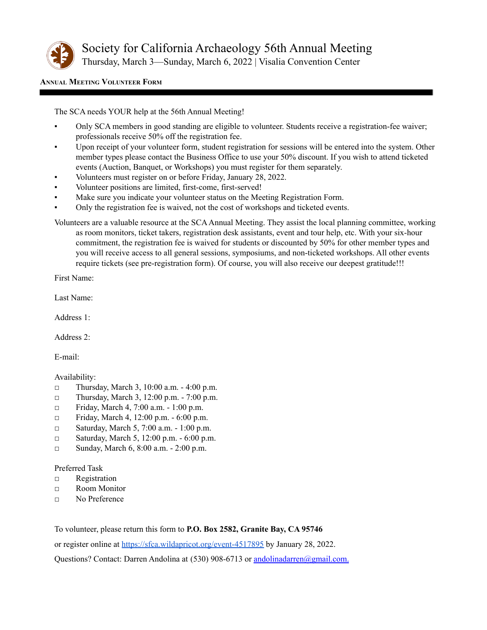

Thursday, March 3—Sunday, March 6, 2022 | Visalia Convention Center

## <span id="page-24-0"></span>**ANNUAL MEETING VOLUNTEER FORM**

The SCA needs YOUR help at the 56th Annual Meeting!

- Only SCA members in good standing are eligible to volunteer. Students receive a registration-fee waiver; professionals receive 50% off the registration fee.
- Upon receipt of your volunteer form, student registration for sessions will be entered into the system. Other member types please contact the Business Office to use your 50% discount. If you wish to attend ticketed events (Auction, Banquet, or Workshops) you must register for them separately.
- Volunteers must register on or before Friday, January 28, 2022.
- Volunteer positions are limited, first-come, first-served!
- Make sure you indicate your volunteer status on the Meeting Registration Form.
- Only the registration fee is waived, not the cost of workshops and ticketed events.
- Volunteers are a valuable resource at the SCA Annual Meeting. They assist the local planning committee, working as room monitors, ticket takers, registration desk assistants, event and tour help, etc. With your six-hour commitment, the registration fee is waived for students or discounted by 50% for other member types and you will receive access to all general sessions, symposiums, and non-ticketed workshops. All other events require tickets (see pre-registration form). Of course, you will also receive our deepest gratitude!!!

First Name:

Last Name:

Address 1:

Address 2:

E-mail:

# Availability:

- □ Thursday, March 3, 10:00 a.m. 4:00 p.m.
- □ Thursday, March 3, 12:00 p.m. 7:00 p.m.
- □ Friday, March 4, 7:00 a.m. 1:00 p.m.
- □ Friday, March 4, 12:00 p.m. 6:00 p.m.
- □ Saturday, March 5, 7:00 a.m. 1:00 p.m.
- □ Saturday, March 5, 12:00 p.m. 6:00 p.m.
- □ Sunday, March 6, 8:00 a.m. 2:00 p.m.

Preferred Task

- □ Registration
- □ Room Monitor
- □ No Preference

To volunteer, please return this form to **P.O. Box 2582, Granite Bay, CA 95746**

or register online at <https://sfca.wildapricot.org/event-4517895> by January 28, 2022.

Questions? Contact: Darren Andolina at (530) 908-6713 or [andolinadarren@gmail.com.](mailto:andolinadarren@gmail.com)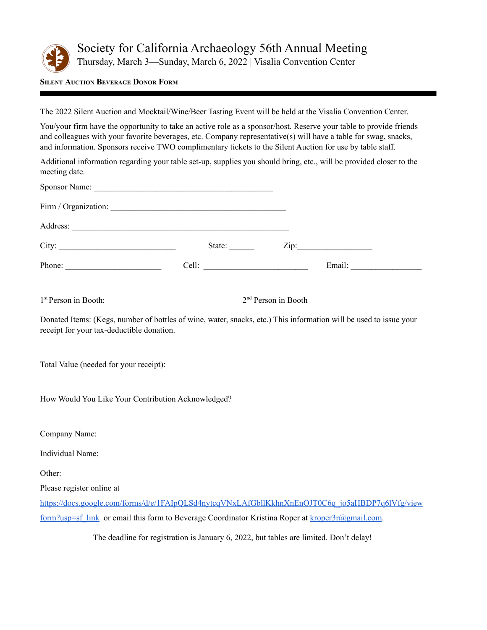

Thursday, March 3—Sunday, March 6, 2022 | Visalia Convention Center

<span id="page-25-0"></span>**SILENT AUCTION BEVERAGE DONOR FORM**

The 2022 Silent Auction and Mocktail/Wine/Beer Tasting Event will be held at the Visalia Convention Center.

You/your firm have the opportunity to take an active role as a sponsor/host. Reserve your table to provide friends and colleagues with your favorite beverages, etc. Company representative(s) will have a table for swag, snacks, and information. Sponsors receive TWO complimentary tickets to the Silent Auction for use by table staff.

Additional information regarding your table set-up, supplies you should bring, etc., will be provided closer to the meeting date.

| City:                                                                                                                                                          |  | State:                |  | Zip: |  |
|----------------------------------------------------------------------------------------------------------------------------------------------------------------|--|-----------------------|--|------|--|
| Phone: $\qquad \qquad$                                                                                                                                         |  |                       |  |      |  |
|                                                                                                                                                                |  |                       |  |      |  |
| $1st$ Person in Booth:                                                                                                                                         |  | $2nd$ Person in Booth |  |      |  |
| Donated Items: (Kegs, number of bottles of wine, water, snacks, etc.) This information will be used to issue your<br>receipt for your tax-deductible donation. |  |                       |  |      |  |
| Total Value (needed for your receipt):                                                                                                                         |  |                       |  |      |  |

How Would You Like Your Contribution Acknowledged?

Company Name:

Individual Name:

Other:

Please register online at

[https://docs.google.com/forms/d/e/1FAIpQLSd4nytcqVNxLAfGbllKkhnXnEnOJT0C6q\\_jo5aHBDP7q6lVfg/view](https://docs.google.com/forms/d/e/1FAIpQLSd4nytcqVNxLAfGbllKkhnXnEnOJT0C6q_jo5aHBDP7q6lVfg/viewform?usp=sf_link) [form?usp=sf\\_link](https://docs.google.com/forms/d/e/1FAIpQLSd4nytcqVNxLAfGbllKkhnXnEnOJT0C6q_jo5aHBDP7q6lVfg/viewform?usp=sf_link) or email this form to Beverage Coordinator Kristina Roper at  $k$ roper3r@gmail.com.

The deadline for registration is January 6, 2022, but tables are limited. Don't delay!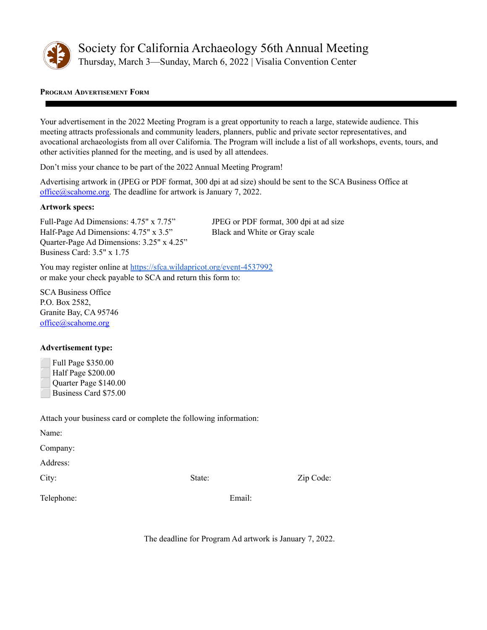

# <span id="page-26-0"></span>**PROGRAM ADVERTISEMENT FORM**

Your advertisement in the 2022 Meeting Program is a great opportunity to reach a large, statewide audience. This meeting attracts professionals and community leaders, planners, public and private sector representatives, and avocational archaeologists from all over California. The Program will include a list of all workshops, events, tours, and other activities planned for the meeting, and is used by all attendees.

Don't miss your chance to be part of the 2022 Annual Meeting Program!

Advertising artwork in (JPEG or PDF format, 300 dpi at ad size) should be sent to the SCA Business Office at [office@scahome.org.](mailto:office@scahome.org) The deadline for artwork is January 7, 2022.

#### **Artwork specs:**

Full-Page Ad Dimensions: 4.75" x 7.75" JPEG or PDF format, 300 dpi at ad size Half-Page Ad Dimensions: 4.75" x 3.5" Black and White or Gray scale Quarter-Page Ad Dimensions: 3.25" x 4.25" Business Card: 3.5" x 1.75

You may register online at <https://sfca.wildapricot.org/event-4537992> or make your check payable to SCA and return this form to:

SCA Business Office P.O. Box 2582, Granite Bay, CA 95746 [office@scahome.org](mailto:office@scahome.org)

# **Advertisement type:**

| <b>Full Page \$350.00</b> |
|---------------------------|
| Half Page \$200.00        |
| Quarter Page \$140.00     |
| Business Card \$75.00     |

Attach your business card or complete the following information:

Name:

Company:

Address:

City: State: Zip Code:

Telephone: Email:

The deadline for Program Ad artwork is January 7, 2022.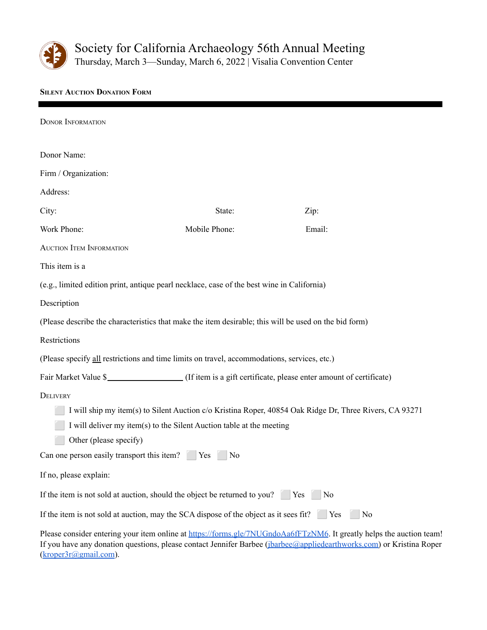

Thursday, March 3—Sunday, March 6, 2022 | Visalia Convention Center

# <span id="page-27-0"></span>**SILENT AUCTION DONATION FORM**

| <b>DONOR INFORMATION</b>                                                                              |                                                                                                         |                                                                                                                                                                                                                                              |
|-------------------------------------------------------------------------------------------------------|---------------------------------------------------------------------------------------------------------|----------------------------------------------------------------------------------------------------------------------------------------------------------------------------------------------------------------------------------------------|
| Donor Name:                                                                                           |                                                                                                         |                                                                                                                                                                                                                                              |
| Firm / Organization:                                                                                  |                                                                                                         |                                                                                                                                                                                                                                              |
| Address:                                                                                              |                                                                                                         |                                                                                                                                                                                                                                              |
| City:                                                                                                 | State:                                                                                                  | Zip:                                                                                                                                                                                                                                         |
| Work Phone:                                                                                           | Mobile Phone:                                                                                           | Email:                                                                                                                                                                                                                                       |
| <b>AUCTION ITEM INFORMATION</b>                                                                       |                                                                                                         |                                                                                                                                                                                                                                              |
| This item is a                                                                                        |                                                                                                         |                                                                                                                                                                                                                                              |
| (e.g., limited edition print, antique pearl necklace, case of the best wine in California)            |                                                                                                         |                                                                                                                                                                                                                                              |
| Description                                                                                           |                                                                                                         |                                                                                                                                                                                                                                              |
| (Please describe the characteristics that make the item desirable; this will be used on the bid form) |                                                                                                         |                                                                                                                                                                                                                                              |
| Restrictions                                                                                          |                                                                                                         |                                                                                                                                                                                                                                              |
| (Please specify all restrictions and time limits on travel, accommodations, services, etc.)           |                                                                                                         |                                                                                                                                                                                                                                              |
|                                                                                                       |                                                                                                         |                                                                                                                                                                                                                                              |
| DELIVERY                                                                                              |                                                                                                         |                                                                                                                                                                                                                                              |
|                                                                                                       | I will ship my item(s) to Silent Auction c/o Kristina Roper, 40854 Oak Ridge Dr, Three Rivers, CA 93271 |                                                                                                                                                                                                                                              |
| I will deliver my item(s) to the Silent Auction table at the meeting                                  |                                                                                                         |                                                                                                                                                                                                                                              |
| Other (please specify)                                                                                |                                                                                                         |                                                                                                                                                                                                                                              |
| Can one person easily transport this item? [Nes                                                       | N <sub>0</sub>                                                                                          |                                                                                                                                                                                                                                              |
| If no, please explain:                                                                                |                                                                                                         |                                                                                                                                                                                                                                              |
| If the item is not sold at auction, should the object be returned to you?                             | Yes                                                                                                     | No                                                                                                                                                                                                                                           |
| If the item is not sold at auction, may the SCA dispose of the object as it sees fit? Yes             |                                                                                                         | N <sub>0</sub>                                                                                                                                                                                                                               |
|                                                                                                       |                                                                                                         | Please consider entering your item online at https://forms.gle/7NUGndoAa6fFTzNM6. It greatly helps the auction team!<br>If you have any donation questions, please contact Jennifer Barbee (jbarbee@appliedearthworks.com) or Kristina Roper |

([kroper3r@gmail.com](mailto:kroper3r@gmail.com)).